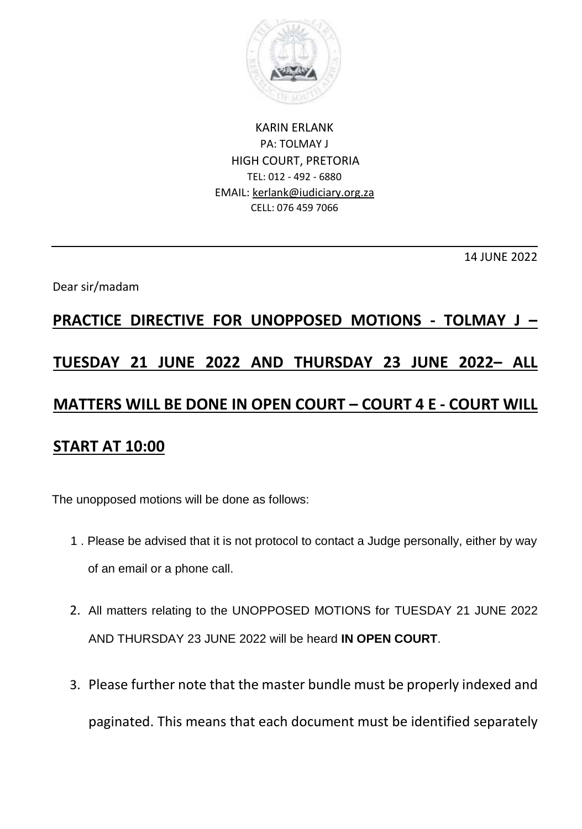

KARIN ERLANK PA: TOLMAY J HIGH COURT, PRETORIA TEL: 012 - 492 - 6880 EMAIL: kerlank@iudiciary.org.za CELL: 076 459 7066

14 JUNE 2022

## Dear sir/madam

## **PRACTICE DIRECTIVE FOR UNOPPOSED MOTIONS - TOLMAY J – TUESDAY 21 JUNE 2022 AND THURSDAY 23 JUNE 2022– ALL MATTERS WILL BE DONE IN OPEN COURT – COURT 4 E - COURT WILL START AT 10:00**

The unopposed motions will be done as follows:

- 1 . Please be advised that it is not protocol to contact a Judge personally, either by way of an email or a phone call.
- 2. All matters relating to the UNOPPOSED MOTIONS for TUESDAY 21 JUNE 2022 AND THURSDAY 23 JUNE 2022 will be heard **IN OPEN COURT**.
- 3. Please further note that the master bundle must be properly indexed and paginated. This means that each document must be identified separately